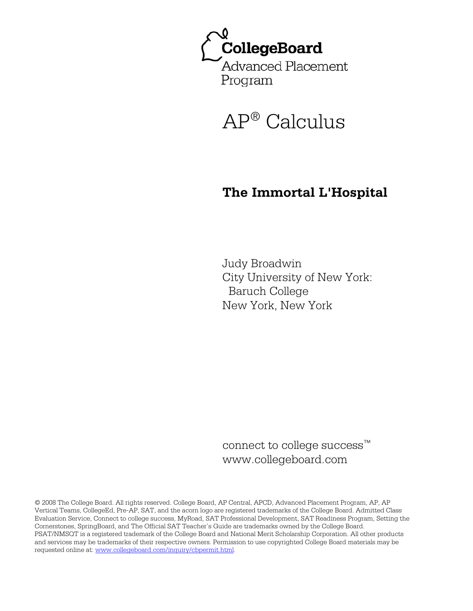CollegeBoard Advanced Placement Program



# **The Immortal L'Hospital**

Judy Broadwin City University of New York: Baruch College New York, New York

connect to college success™ www.collegeboard.com

© 2008 The College Board. All rights reserved. College Board, AP Central, APCD, Advanced Placement Program, AP, AP Vertical Teams, CollegeEd, Pre-AP, SAT, and the acorn logo are registered trademarks of the College Board. Admitted Class Evaluation Service, Connect to college success, MyRoad, SAT Professional Development, SAT Readiness Program, Setting the Cornerstones, SpringBoard, and The Official SAT Teacher's Guide are trademarks owned by the College Board. PSAT/NMSQT is a registered trademark of the College Board and National Merit Scholarship Corporation. All other products and services may be trademarks of their respective owners. Permission to use copyrighted College Board materials may be requested online at: www.collegeboard.com/inquiry/cbpermit.html.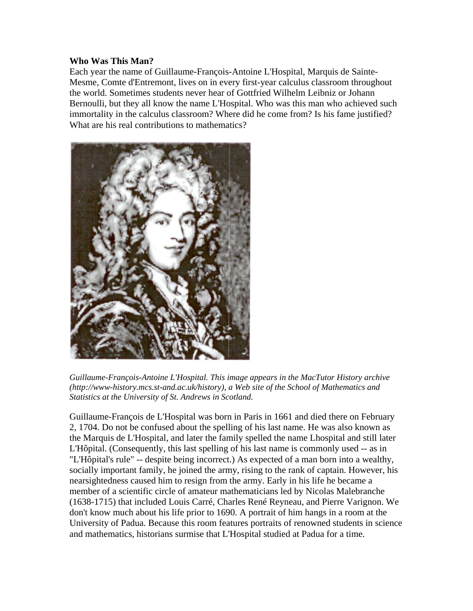## **Who Was This Man?**

Each year the name of Guillaume-François-Antoine L'Hospital, Marquis de Sainte-Mesme, Comte d'Entremont, lives on in every first-year calculus classroom throughout the world. Sometimes students never hear of Gottfried Wilhelm Leibniz or Johann Bernoulli, but they all know the name L'Hospital. Who was this man who achieved such immortality in the calculus classroom? Where did he come from? Is his fame justified? What are his real contributions to mathematics?



*Guillaume-François-Antoine L'Hospital. This image appears in the MacTutor History archive (http://www-history.mcs.st-and.ac.uk/history), a Web site of the School of Mathematics and Statistics at the University of St. Andrews in Scotland.* 

Guillaume-François de L'Hospital was born in Paris in 1661 and died there on February 2, 1704. Do not be confused about the spelling of his last name. He was also known as the Marquis de L'Hospital, and later the family spelled the name Lhospital and still later L'Hôpital. (Consequently, this last spelling of his last name is commonly used -- as in "L'Hôpital's rule" -- despite being incorrect.) As expected of a man born into a wealthy, socially important family, he joined the army, rising to the rank of captain. However, his nearsightedness caused him to resign from the army. Early in his life he became a member of a scientific circle of amateur mathematicians led by Nicolas Malebranche (1638-1715) that included Louis Carré, Charles René Reyneau, and Pierre Varignon. We don't know much about his life prior to 1690. A portrait of him hangs in a room at the University of Padua. Because this room features portraits of renowned students in science and mathematics, historians surmise that L'Hospital studied at Padua for a time.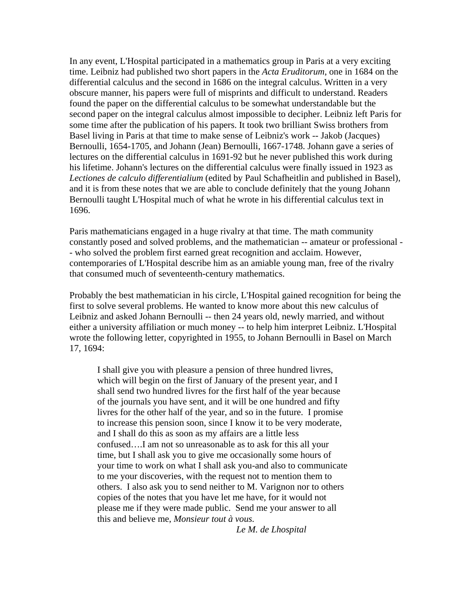In any event, L'Hospital participated in a mathematics group in Paris at a very exciting time. Leibniz had published two short papers in the *Acta Eruditorum*, one in 1684 on the differential calculus and the second in 1686 on the integral calculus. Written in a very obscure manner, his papers were full of misprints and difficult to understand. Readers found the paper on the differential calculus to be somewhat understandable but the second paper on the integral calculus almost impossible to decipher. Leibniz left Paris for some time after the publication of his papers. It took two brilliant Swiss brothers from Basel living in Paris at that time to make sense of Leibniz's work -- Jakob (Jacques) Bernoulli, 1654-1705, and Johann (Jean) Bernoulli, 1667-1748. Johann gave a series of lectures on the differential calculus in 1691-92 but he never published this work during his lifetime. Johann's lectures on the differential calculus were finally issued in 1923 as *Lectiones de calculo differentialium* (edited by Paul Schafheitlin and published in Basel), and it is from these notes that we are able to conclude definitely that the young Johann Bernoulli taught L'Hospital much of what he wrote in his differential calculus text in 1696.

Paris mathematicians engaged in a huge rivalry at that time. The math community constantly posed and solved problems, and the mathematician -- amateur or professional - - who solved the problem first earned great recognition and acclaim. However, contemporaries of L'Hospital describe him as an amiable young man, free of the rivalry that consumed much of seventeenth-century mathematics.

Probably the best mathematician in his circle, L'Hospital gained recognition for being the first to solve several problems. He wanted to know more about this new calculus of Leibniz and asked Johann Bernoulli -- then 24 years old, newly married, and without either a university affiliation or much money -- to help him interpret Leibniz. L'Hospital wrote the following letter, copyrighted in 1955, to Johann Bernoulli in Basel on March 17, 1694:

I shall give you with pleasure a pension of three hundred livres, which will begin on the first of January of the present year, and I shall send two hundred livres for the first half of the year because of the journals you have sent, and it will be one hundred and fifty livres for the other half of the year, and so in the future. I promise to increase this pension soon, since I know it to be very moderate, and I shall do this as soon as my affairs are a little less confused….I am not so unreasonable as to ask for this all your time, but I shall ask you to give me occasionally some hours of your time to work on what I shall ask you-and also to communicate to me your discoveries, with the request not to mention them to others. I also ask you to send neither to M. Varignon nor to others copies of the notes that you have let me have, for it would not please me if they were made public. Send me your answer to all this and believe me, *Monsieur tout à vous.* 

 *Le M. de Lhospital*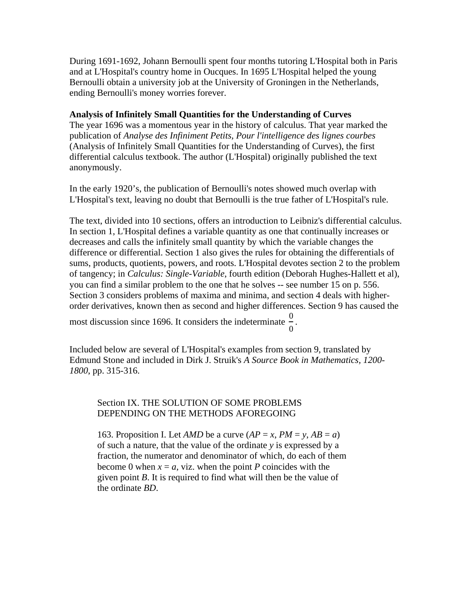During 1691-1692, Johann Bernoulli spent four months tutoring L'Hospital both in Paris and at L'Hospital's country home in Oucques. In 1695 L'Hospital helped the young Bernoulli obtain a university job at the University of Groningen in the Netherlands, ending Bernoulli's money worries forever.

# **Analysis of Infinitely Small Quantities for the Understanding of Curves**

The year 1696 was a momentous year in the history of calculus. That year marked the publication of *Analyse des Infiniment Petits, Pour l'intelligence des lignes courbes*  (Analysis of Infinitely Small Quantities for the Understanding of Curves), the first differential calculus textbook. The author (L'Hospital) originally published the text anonymously.

In the early 1920's, the publication of Bernoulli's notes showed much overlap with L'Hospital's text, leaving no doubt that Bernoulli is the true father of L'Hospital's rule.

The text, divided into 10 sections, offers an introduction to Leibniz's differential calculus. In section 1, L'Hospital defines a variable quantity as one that continually increases or decreases and calls the infinitely small quantity by which the variable changes the difference or differential. Section 1 also gives the rules for obtaining the differentials of sums, products, quotients, powers, and roots. L'Hospital devotes section 2 to the problem of tangency; in *Calculus: Single-Variable*, fourth edition (Deborah Hughes-Hallett et al), you can find a similar problem to the one that he solves -- see number 15 on p. 556. Section 3 considers problems of maxima and minima, and section 4 deals with higherorder derivatives, known then as second and higher differences. Section 9 has caused the

most discussion since 1696. It considers the indeterminate  $\frac{0}{s}$ 0 .

Included below are several of L'Hospital's examples from section 9, translated by Edmund Stone and included in Dirk J. Struik's *A Source Book in Mathematics, 1200- 1800*, pp. 315-316.

# Section IX. THE SOLUTION OF SOME PROBLEMS DEPENDING ON THE METHODS AFOREGOING

163. Proposition I. Let *AMD* be a curve  $AP = x$ ,  $PM = y$ ,  $AB = a$ ) of such a nature, that the value of the ordinate *y* is expressed by a fraction, the numerator and denominator of which, do each of them become 0 when  $x = a$ , viz. when the point *P* coincides with the given point *B*. It is required to find what will then be the value of the ordinate *BD*.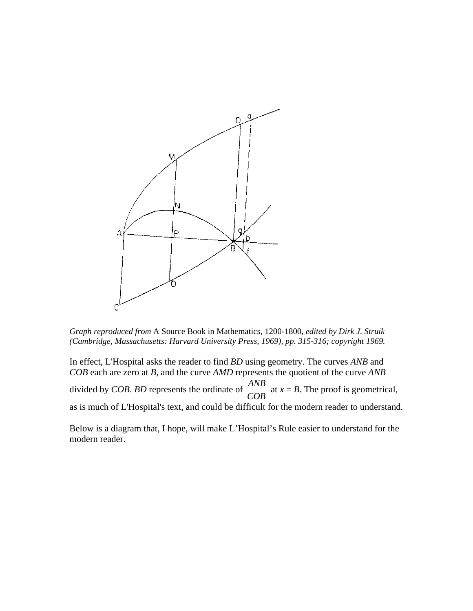

*Graph reproduced from* A Source Book in Mathematics, 1200-1800*, edited by Dirk J. Struik (Cambridge, Massachusetts: Harvard University Press, 1969), pp. 315-316; copyright 1969.*

In effect, L'Hospital asks the reader to find *BD* using geometry. The curves *ANB* and *COB* each are zero at *B*, and the curve *AMD* represents the quotient of the curve *ANB*  divided by *COB*. *BD* represents the ordinate of *ANB COB* at  $x = B$ . The proof is geometrical, as is much of L'Hospital's text, and could be difficult for the modern reader to understand.

Below is a diagram that, I hope, will make L'Hospital's Rule easier to understand for the modern reader.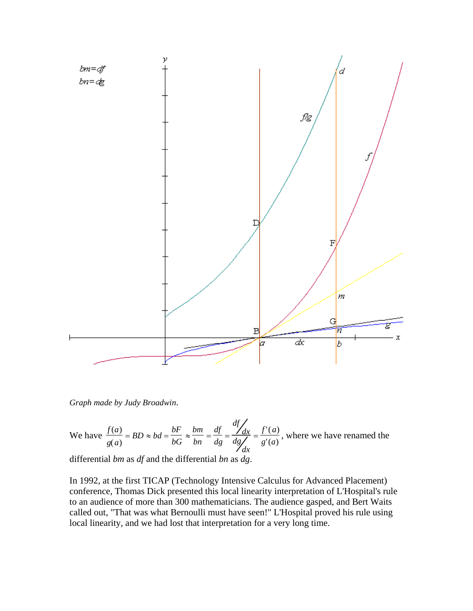

*Graph made by Judy Broadwin*.

We have 
$$
\frac{f(a)}{g(a)} = BD \approx bd = \frac{bF}{bG} \approx \frac{bm}{bn} = \frac{df}{dg} = \frac{df}{dg} \frac{dx}{dx} = \frac{f'(a)}{g'(a)}
$$
, where we have renamed the

differential *bm* as *df* and the differential *bn* as *dg*.

In 1992, at the first TICAP (Technology Intensive Calculus for Advanced Placement) conference, Thomas Dick presented this local linearity interpretation of L'Hospital's rule to an audience of more than 300 mathematicians. The audience gasped, and Bert Waits called out, "That was what Bernoulli must have seen!" L'Hospital proved his rule using local linearity, and we had lost that interpretation for a very long time.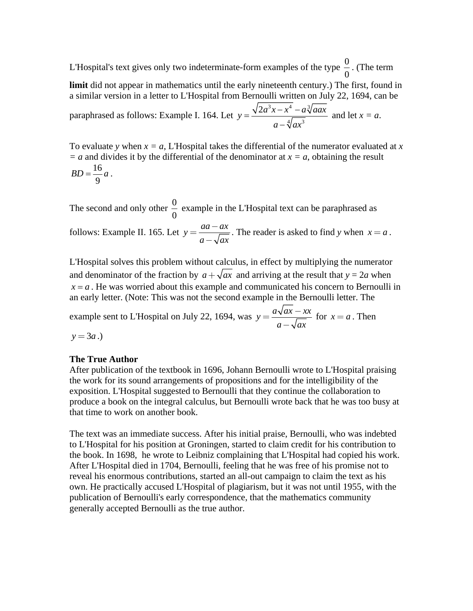L'Hospital's text gives only two indeterminate-form examples of the type  $\frac{0}{2}$ 0 . (The term

**limit** did not appear in mathematics until the early nineteenth century.) The first, found in a similar version in a letter to L'Hospital from Bernoulli written on July 22, 1694, can be

paraphrased as follows: Example I. 164. Let  $3x + 4a^3$  $4/\sim^3$  $y = \frac{\sqrt{2a^3x - x^4 - a^3/aax}}{\sqrt{ax^3 + a^2+a^3}}$  $=\frac{\sqrt{2a^3x-x^4}-a\sqrt[3]{aax}}{a-\sqrt[4]{ax^3}}$  and let  $x=a$ .

To evaluate *y* when  $x = a$ , L'Hospital takes the differential of the numerator evaluated at *x*  $= a$  and divides it by the differential of the denominator at  $x = a$ , obtaining the result 16 9  $BD = \frac{16}{6}a$ .

The second and only other  $\frac{0}{2}$ 0 example in the L'Hospital text can be paraphrased as follows: Example II. 165. Let  $y = \frac{aa - ax}{\sqrt{a^2 + bx^2}}$  $=\frac{aa - ax}{a - \sqrt{ax}}$ . The reader is asked to find *y* when *x* = *a*.

L'Hospital solves this problem without calculus, in effect by multiplying the numerator and denominator of the fraction by  $a + \sqrt{ax}$  and arriving at the result that  $y = 2a$  when  $x = a$ . He was worried about this example and communicated his concern to Bernoulli in an early letter. (Note: This was not the second example in the Bernoulli letter. The

example sent to L'Hospital on July 22, 1694, was  $y = \frac{a\sqrt{ax - xx}}{\sqrt{ax^2 + bx^2}}$  $=\frac{a\sqrt{ax - xx}}{a - \sqrt{ax}}$  for  $x = a$ . Then  $y = 3a$ .)

# **The True Author**

After publication of the textbook in 1696, Johann Bernoulli wrote to L'Hospital praising the work for its sound arrangements of propositions and for the intelligibility of the exposition. L'Hospital suggested to Bernoulli that they continue the collaboration to produce a book on the integral calculus, but Bernoulli wrote back that he was too busy at that time to work on another book.

The text was an immediate success. After his initial praise, Bernoulli, who was indebted to L'Hospital for his position at Groningen, started to claim credit for his contribution to the book. In 1698, he wrote to Leibniz complaining that L'Hospital had copied his work. After L'Hospital died in 1704, Bernoulli, feeling that he was free of his promise not to reveal his enormous contributions, started an all-out campaign to claim the text as his own. He practically accused L'Hospital of plagiarism, but it was not until 1955, with the publication of Bernoulli's early correspondence, that the mathematics community generally accepted Bernoulli as the true author.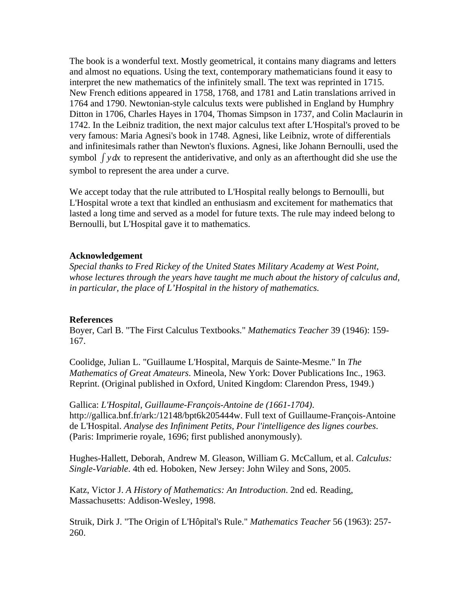The book is a wonderful text. Mostly geometrical, it contains many diagrams and letters and almost no equations. Using the text, contemporary mathematicians found it easy to interpret the new mathematics of the infinitely small. The text was reprinted in 1715. New French editions appeared in 1758, 1768, and 1781 and Latin translations arrived in 1764 and 1790. Newtonian-style calculus texts were published in England by Humphry Ditton in 1706, Charles Hayes in 1704, Thomas Simpson in 1737, and Colin Maclaurin in 1742. In the Leibniz tradition, the next major calculus text after L'Hospital's proved to be very famous: Maria Agnesi's book in 1748. Agnesi, like Leibniz, wrote of differentials and infinitesimals rather than Newton's fluxions. Agnesi, like Johann Bernoulli, used the symbol ∫ *ydx* to represent the antiderivative, and only as an afterthought did she use the symbol to represent the area under a curve.

We accept today that the rule attributed to L'Hospital really belongs to Bernoulli, but L'Hospital wrote a text that kindled an enthusiasm and excitement for mathematics that lasted a long time and served as a model for future texts. The rule may indeed belong to Bernoulli, but L'Hospital gave it to mathematics.

### **Acknowledgement**

*Special thanks to Fred Rickey of the United States Military Academy at West Point, whose lectures through the years have taught me much about the history of calculus and, in particular, the place of L'Hospital in the history of mathematics.* 

# **References**

Boyer, Carl B. "The First Calculus Textbooks." *Mathematics Teacher* 39 (1946): 159- 167.

Coolidge, Julian L. "Guillaume L'Hospital, Marquis de Sainte-Mesme." In *The Mathematics of Great Amateurs*. Mineola, New York: Dover Publications Inc., 1963. Reprint. (Original published in Oxford, United Kingdom: Clarendon Press, 1949.)

Gallica: *L'Hospital, Guillaume-François-Antoine de (1661-1704)*. http://gallica.bnf.fr/ark:/12148/bpt6k205444w. Full text of Guillaume-François-Antoine de L'Hospital. *Analyse des Infiniment Petits, Pour l'intelligence des lignes courbes*. (Paris: Imprimerie royale, 1696; first published anonymously).

Hughes-Hallett, Deborah, Andrew M. Gleason, William G. McCallum, et al. *Calculus: Single-Variable*. 4th ed. Hoboken, New Jersey: John Wiley and Sons, 2005.

Katz, Victor J. *A History of Mathematics: An Introduction*. 2nd ed. Reading, Massachusetts: Addison-Wesley, 1998.

Struik, Dirk J. "The Origin of L'Hôpital's Rule." *Mathematics Teacher* 56 (1963): 257- 260.